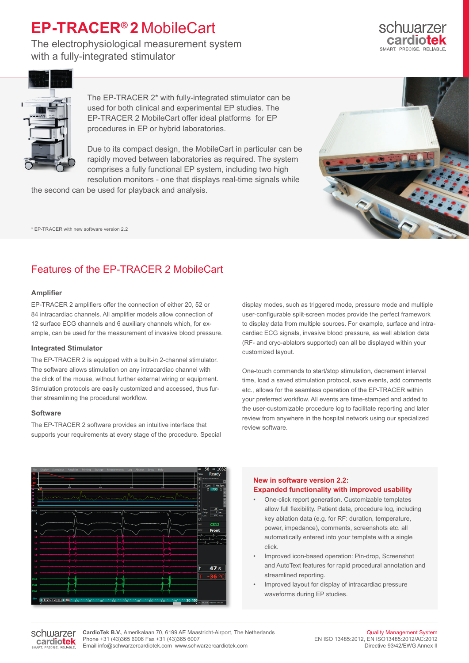# **EP-TRACER® 2** MobileCart

The electrophysiological measurement system with a fully-integrated stimulator





The EP-TRACER 2\* with fully-integrated stimulator can be used for both clinical and experimental EP studies. The EP-TRACER 2 MobileCart offer ideal platforms for EP procedures in EP or hybrid laboratories.

Due to its compact design, the MobileCart in particular can be rapidly moved between laboratories as required. The system comprises a fully functional EP system, including two high resolution monitors - one that displays real-time signals while

the second can be used for playback and analysis.

\* EP-TRACER with new software version 2.2

## Features of the EP-TRACER 2 MobileCart

#### **Amplifier**

EP-TRACER 2 amplifiers offer the connection of either 20, 52 or 84 intracardiac channels. All amplifier models allow connection of 12 surface ECG channels and 6 auxiliary channels which, for example, can be used for the measurement of invasive blood pressure.

#### **Integrated Stimulator**

The EP-TRACER 2 is equipped with a built-in 2-channel stimulator. The software allows stimulation on any intracardiac channel with the click of the mouse, without further external wiring or equipment. Stimulation protocols are easily customized and accessed, thus further streamlining the procedural workflow.

#### **Software**

The EP-TRACER 2 software provides an intuitive interface that supports your requirements at every stage of the procedure. Special display modes, such as triggered mode, pressure mode and multiple user-configurable split-screen modes provide the perfect framework to display data from multiple sources. For example, surface and intracardiac ECG signals, invasive blood pressure, as well ablation data (RF- and cryo-ablators supported) can all be displayed within your customized layout.

One-touch commands to start/stop stimulation, decrement interval time, load a saved stimulation protocol, save events, add comments etc., allows for the seamless operation of the EP-TRACER within your preferred workflow. All events are time-stamped and added to the user-customizable procedure log to facilitate reporting and later review from anywhere in the hospital network using our specialized review software.



#### **New in software version 2.2: Expanded functionality with improved usability**

- One-click report generation. Customizable templates allow full flexibility. Patient data, procedure log, including key ablation data (e.g. for RF: duration, temperature, power, impedance), comments, screenshots etc. all automatically entered into your template with a single click.
- Improved icon-based operation: Pin-drop, Screenshot and AutoText features for rapid procedural annotation and streamlined reporting.
- Improved layout for display of intracardiac pressure waveforms during EP studies.

schwarzer cardiotek **CardioTek B.V.**, Amerikalaan 70, 6199 AE Maastricht-Airport, The Netherlands Phone +31 (43)365 6006 Fax +31 (43)365 6007 Email info@schwarzercardiotek.com www.schwarzercardiotek.com